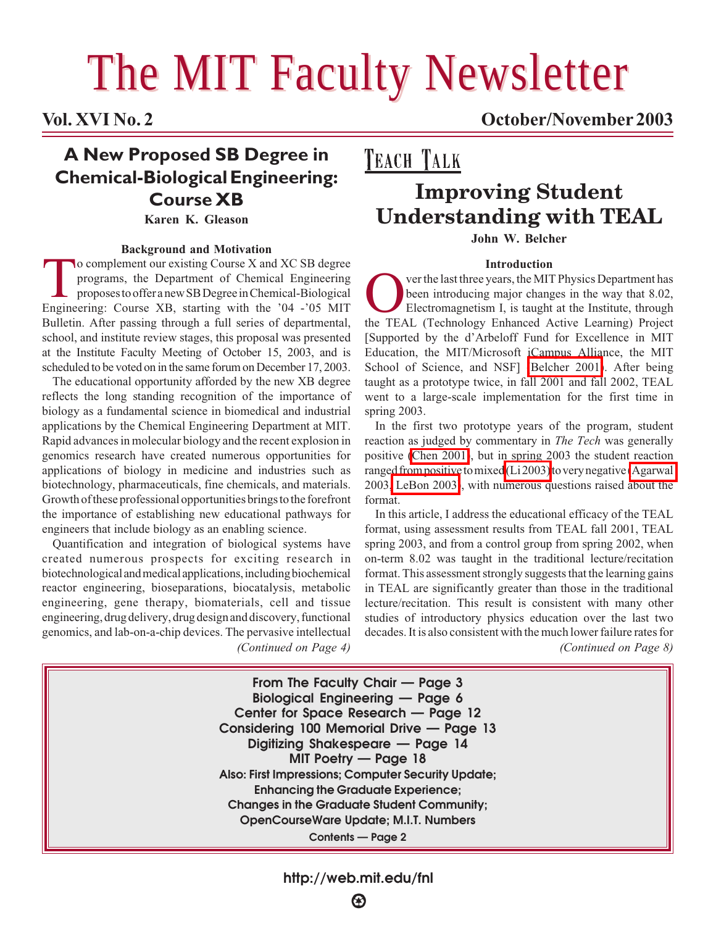# The MIT Faculty Newsletter

# **A New Proposed SB Degree in Chemical-Biological Engineering: Course XB**

**Karen K. Gleason**

#### **Background and Motivation**

To complement our existing Course X and XC SB degree programs, the Department of Chemical Engineering proposes to offer a new SB Degree in Chemical-Biological Engineering: Course XB, starting with the '04 -'05 MIT Bulletin. After passing through a full series of departmental, school, and institute review stages, this proposal was presented at the Institute Faculty Meeting of October 15, 2003, and is scheduled to be voted on in the same forum on December 17, 2003.

The educational opportunity afforded by the new XB degree reflects the long standing recognition of the importance of biology as a fundamental science in biomedical and industrial applications by the Chemical Engineering Department at MIT. Rapid advances in molecular biology and the recent explosion in genomics research have created numerous opportunities for applications of biology in medicine and industries such as biotechnology, pharmaceuticals, fine chemicals, and materials. Growth of these professional opportunities brings to the forefront the importance of establishing new educational pathways for engineers that include biology as an enabling science.

Quantification and integration of biological systems have created numerous prospects for exciting research in biotechnological and medical applications, including biochemical reactor engineering, bioseparations, biocatalysis, metabolic engineering, gene therapy, biomaterials, cell and tissue engineering, drug delivery, drug design and discovery, functional genomics, and lab-on-a-chip devices. The pervasive intellectual

**Vol. XVI No. 2 October/November 2003**

**TEACH TALK** 

# **Improving Student Understanding with TEAL**

**John W. Belcher**

#### **Introduction**

Ver the last three years, the MIT Physics Department has<br>been introducing major changes in the way that 8.02,<br>Electromagnetism I, is taught at the Institute, through<br>the TFAL (Technology Enhanced Active Learning) Project been introducing major changes in the way that 8.02, Electromagnetism I, is taught at the Institute, through the TEAL (Technology Enhanced Active Learning) Project [Supported by the d'Arbeloff Fund for Excellence in MIT Education, the MIT/Microsoft iCampus Alliance, the MIT School of Science, and NSF] [\(Belcher 2001\)](http://web.mit.edu/jbelcher/www/TEALref/PhysicsNewsLetter.pdf). After being taught as a prototype twice, in fall 2001 and fall 2002, TEAL went to a large-scale implementation for the first time in spring 2003.

In the first two prototype years of the program, student reaction as judged by commentary in *The Tech* was generally positive [\(Chen 2001\)](http://the-tech.mit.edu/V121/N54/54_teal.54n.html), but in spring 2003 the student reaction ranged from positive to mixed [\(Li 2003\)](http://www-tech.mit.edu/V123/N15/li_col_15.15c.html) to very negative [\(Agarwal](http://www-tech.mit.edu/V123/N16/arun16.16c.html) 2003[, LeBon 2003\)](http://www-tech.mit.edu/V123/N14/14802T.14n.html), with numerous questions raised about the format.

*(Continued on Page 4) (Continued on Page 8)* In this article, I address the educational efficacy of the TEAL format, using assessment results from TEAL fall 2001, TEAL spring 2003, and from a control group from spring 2002, when on-term 8.02 was taught in the traditional lecture/recitation format. This assessment strongly suggests that the learning gains in TEAL are significantly greater than those in the traditional lecture/recitation. This result is consistent with many other studies of introductory physics education over the last two decades. It is also consistent with the much lower failure rates for

**From The Faculty Chair — Page 3 Biological Engineering — Page 6 Center for Space Research — Page 12 Considering 100 Memorial Drive — Page 13 Digitizing Shakespeare — Page 14 MIT Poetry — Page 18 Also: First Impressions; Computer Security Update; Enhancing the Graduate Experience; Changes in the Graduate Student Community; OpenCourseWare Update; M.I.T. Numbers Contents — Page 2**

> **http://web.mit.edu/fnl** ❸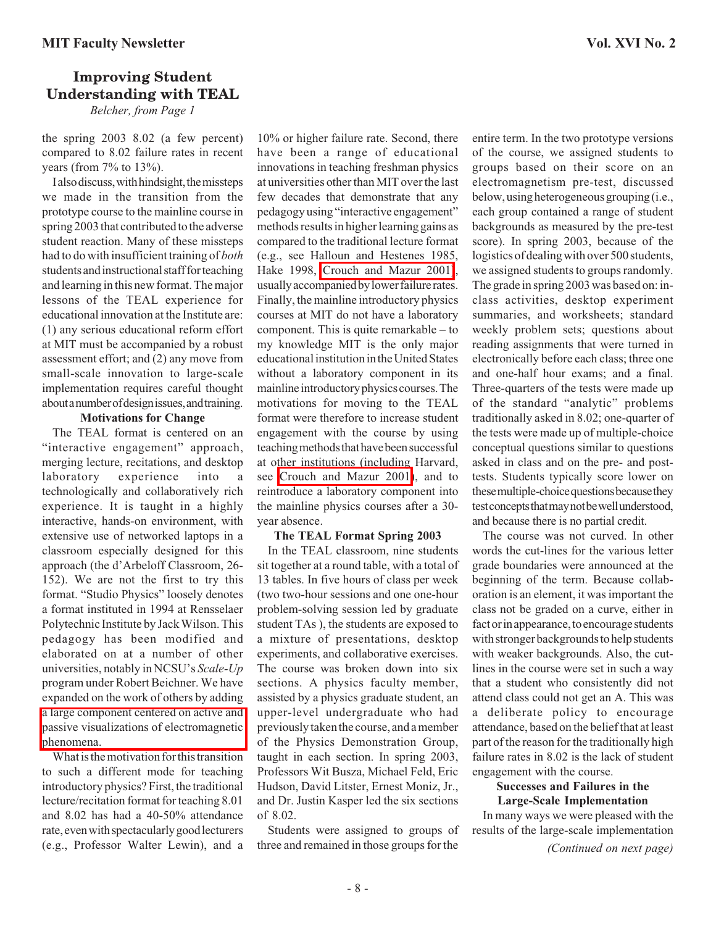# **Improving Student Understanding with TEAL**

*Belcher, from Page 1*

the spring 2003 8.02 (a few percent) compared to 8.02 failure rates in recent years (from 7% to 13%).

I also discuss, with hindsight, the missteps we made in the transition from the prototype course to the mainline course in spring 2003 that contributed to the adverse student reaction. Many of these missteps had to do with insufficient training of *both* students and instructional staff for teaching and learning in this new format. The major lessons of the TEAL experience for educational innovation at the Institute are: (1) any serious educational reform effort at MIT must be accompanied by a robust assessment effort; and (2) any move from small-scale innovation to large-scale implementation requires careful thought about a number of design issues, and training.

#### **Motivations for Change**

The TEAL format is centered on an "interactive engagement" approach, merging lecture, recitations, and desktop laboratory experience into a technologically and collaboratively rich experience. It is taught in a highly interactive, hands-on environment, with extensive use of networked laptops in a classroom especially designed for this approach (the d'Arbeloff Classroom, 26- 152). We are not the first to try this format. "Studio Physics" loosely denotes a format instituted in 1994 at Rensselaer Polytechnic Institute by Jack Wilson. This pedagogy has been modified and elaborated on at a number of other universities, notably in NCSU's *Scale-Up* program under Robert Beichner. We have expanded on the work of others by adding a large component centered on active and [passive visualizations of electromagnetic](http://evangelion.mit.edu/802teal3d/) phenomena.

What is the motivation for this transition to such a different mode for teaching introductory physics? First, the traditional lecture/recitation format for teaching 8.01 and 8.02 has had a 40-50% attendance rate, even with spectacularly good lecturers (e.g., Professor Walter Lewin), and a

10% or higher failure rate. Second, there have been a range of educational innovations in teaching freshman physics at universities other than MIT over the last few decades that demonstrate that any pedagogy using "interactive engagement" methods results in higher learning gains as compared to the traditional lecture format (e.g., see Halloun and Hestenes 1985, Hake 1998, [Crouch and Mazur 2001\)](http://web.mit.edu/jbelcher/www/TEALref/Crouch_Mazur.pdf), usually accompanied by lower failure rates. Finally, the mainline introductory physics courses at MIT do not have a laboratory component. This is quite remarkable – to my knowledge MIT is the only major educational institution in the United States without a laboratory component in its mainline introductory physics courses. The motivations for moving to the TEAL format were therefore to increase student engagement with the course by using teaching methods that have been successful at other institutions (including Harvard, see [Crouch and Mazur 2001\)](http://web.mit.edu/jbelcher/www/TEALref/Crouch_Mazur.pdf), and to reintroduce a laboratory component into the mainline physics courses after a 30 year absence.

#### **The TEAL Format Spring 2003**

In the TEAL classroom, nine students sit together at a round table, with a total of 13 tables. In five hours of class per week (two two-hour sessions and one one-hour problem-solving session led by graduate student TAs ), the students are exposed to a mixture of presentations, desktop experiments, and collaborative exercises. The course was broken down into six sections. A physics faculty member, assisted by a physics graduate student, an upper-level undergraduate who had previously taken the course, and a member of the Physics Demonstration Group, taught in each section. In spring 2003, Professors Wit Busza, Michael Feld, Eric Hudson, David Litster, Ernest Moniz, Jr., and Dr. Justin Kasper led the six sections of 8.02.

Students were assigned to groups of three and remained in those groups for the entire term. In the two prototype versions of the course, we assigned students to groups based on their score on an electromagnetism pre-test, discussed below, using heterogeneous grouping (i.e., each group contained a range of student backgrounds as measured by the pre-test score). In spring 2003, because of the logistics of dealing with over 500 students, we assigned students to groups randomly. The grade in spring 2003 was based on: inclass activities, desktop experiment summaries, and worksheets; standard weekly problem sets; questions about reading assignments that were turned in electronically before each class; three one and one-half hour exams; and a final. Three-quarters of the tests were made up of the standard "analytic" problems traditionally asked in 8.02; one-quarter of the tests were made up of multiple-choice conceptual questions similar to questions asked in class and on the pre- and posttests. Students typically score lower on these multiple-choice questions because they test concepts that may not be well understood, and because there is no partial credit.

The course was not curved. In other words the cut-lines for the various letter grade boundaries were announced at the beginning of the term. Because collaboration is an element, it was important the class not be graded on a curve, either in fact or in appearance, to encourage students with stronger backgrounds to help students with weaker backgrounds. Also, the cutlines in the course were set in such a way that a student who consistently did not attend class could not get an A. This was a deliberate policy to encourage attendance, based on the belief that at least part of the reason for the traditionally high failure rates in 8.02 is the lack of student engagement with the course.

#### **Successes and Failures in the Large-Scale Implementation**

In many ways we were pleased with the results of the large-scale implementation

*(Continued on next page)*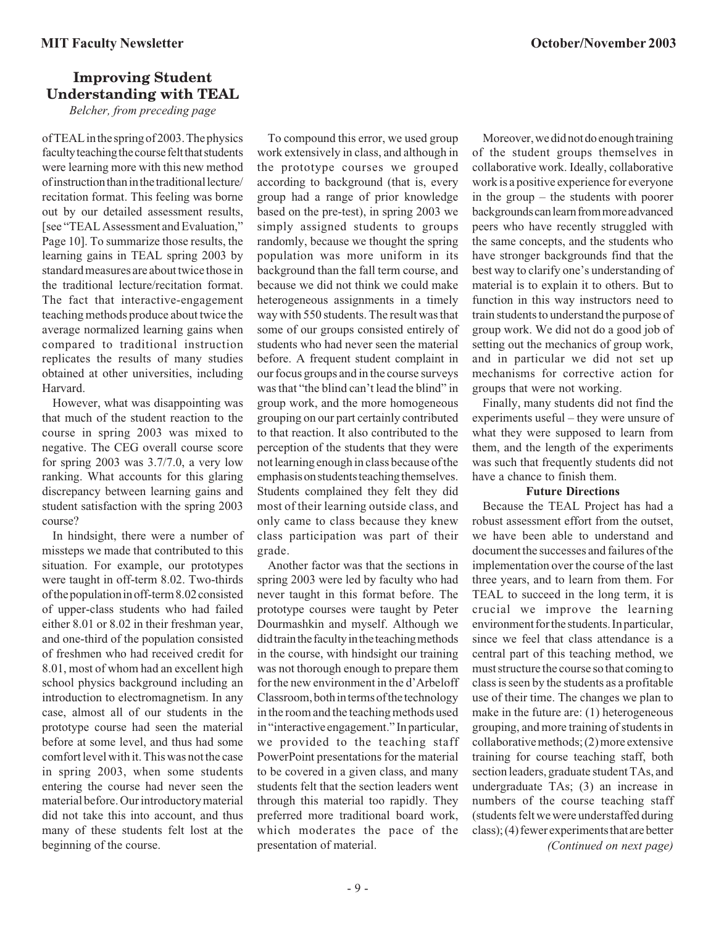# **Improving Student Understanding with TEAL**

*Belcher, from preceding page*

of TEAL in the spring of 2003. The physics faculty teaching the course felt that students were learning more with this new method of instruction than in the traditional lecture/ recitation format. This feeling was borne out by our detailed assessment results, [see "TEAL Assessment and Evaluation," Page 10]. To summarize those results, the learning gains in TEAL spring 2003 by standard measures are about twice those in the traditional lecture/recitation format. The fact that interactive-engagement teaching methods produce about twice the average normalized learning gains when compared to traditional instruction replicates the results of many studies obtained at other universities, including Harvard.

However, what was disappointing was that much of the student reaction to the course in spring 2003 was mixed to negative. The CEG overall course score for spring 2003 was 3.7/7.0, a very low ranking. What accounts for this glaring discrepancy between learning gains and student satisfaction with the spring 2003 course?

In hindsight, there were a number of missteps we made that contributed to this situation. For example, our prototypes were taught in off-term 8.02. Two-thirds of the population in off-term 8.02 consisted of upper-class students who had failed either 8.01 or 8.02 in their freshman year, and one-third of the population consisted of freshmen who had received credit for 8.01, most of whom had an excellent high school physics background including an introduction to electromagnetism. In any case, almost all of our students in the prototype course had seen the material before at some level, and thus had some comfort level with it. This was not the case in spring 2003, when some students entering the course had never seen the material before. Our introductory material did not take this into account, and thus many of these students felt lost at the beginning of the course.

To compound this error, we used group work extensively in class, and although in the prototype courses we grouped according to background (that is, every group had a range of prior knowledge based on the pre-test), in spring 2003 we simply assigned students to groups randomly, because we thought the spring population was more uniform in its background than the fall term course, and because we did not think we could make heterogeneous assignments in a timely way with 550 students. The result was that some of our groups consisted entirely of students who had never seen the material before. A frequent student complaint in our focus groups and in the course surveys was that "the blind can't lead the blind" in group work, and the more homogeneous grouping on our part certainly contributed to that reaction. It also contributed to the perception of the students that they were not learning enough in class because of the emphasis on students teaching themselves. Students complained they felt they did most of their learning outside class, and only came to class because they knew class participation was part of their grade.

Another factor was that the sections in spring 2003 were led by faculty who had never taught in this format before. The prototype courses were taught by Peter Dourmashkin and myself. Although we did train the faculty in the teaching methods in the course, with hindsight our training was not thorough enough to prepare them for the new environment in the d'Arbeloff Classroom, both in terms of the technology in the room and the teaching methods used in "interactive engagement." In particular, we provided to the teaching staff PowerPoint presentations for the material to be covered in a given class, and many students felt that the section leaders went through this material too rapidly. They preferred more traditional board work, which moderates the pace of the presentation of material.

Moreover, we did not do enough training of the student groups themselves in collaborative work. Ideally, collaborative work is a positive experience for everyone in the group – the students with poorer backgrounds can learn from more advanced peers who have recently struggled with the same concepts, and the students who have stronger backgrounds find that the best way to clarify one's understanding of material is to explain it to others. But to function in this way instructors need to train students to understand the purpose of group work. We did not do a good job of setting out the mechanics of group work, and in particular we did not set up mechanisms for corrective action for groups that were not working.

Finally, many students did not find the experiments useful – they were unsure of what they were supposed to learn from them, and the length of the experiments was such that frequently students did not have a chance to finish them.

#### **Future Directions**

Because the TEAL Project has had a robust assessment effort from the outset, we have been able to understand and document the successes and failures of the implementation over the course of the last three years, and to learn from them. For TEAL to succeed in the long term, it is crucial we improve the learning environment for the students. In particular, since we feel that class attendance is a central part of this teaching method, we must structure the course so that coming to class is seen by the students as a profitable use of their time. The changes we plan to make in the future are: (1) heterogeneous grouping, and more training of students in collaborative methods; (2) more extensive training for course teaching staff, both section leaders, graduate student TAs, and undergraduate TAs; (3) an increase in numbers of the course teaching staff (students felt we were understaffed during class); (4) fewer experiments that are better *(Continued on next page)*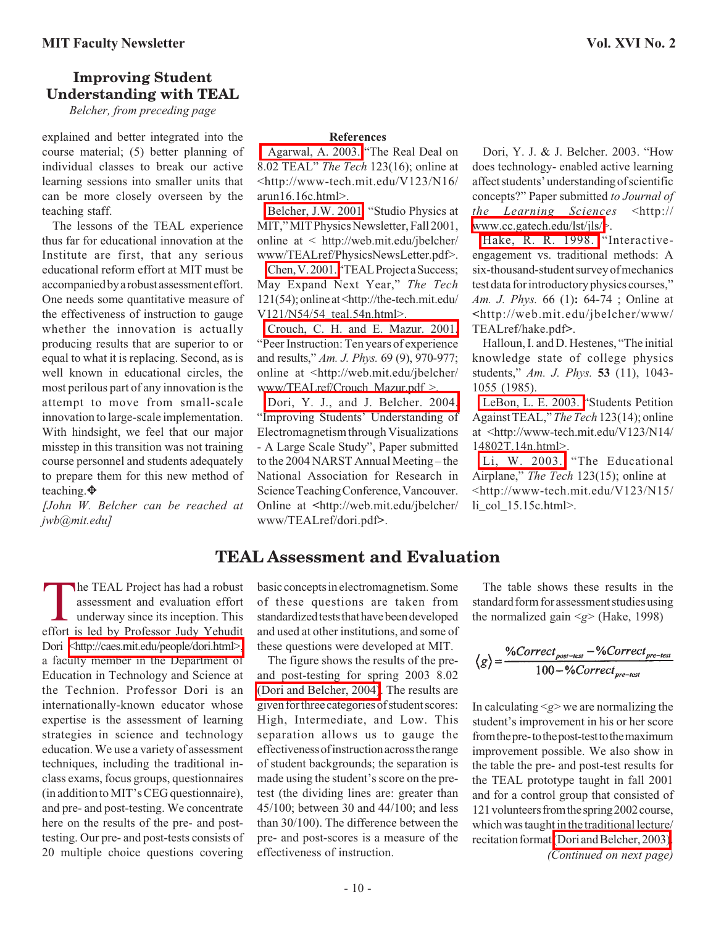### **Improving Student Understanding with TEAL**

*Belcher, from preceding page*

explained and better integrated into the course material; (5) better planning of individual classes to break our active learning sessions into smaller units that can be more closely overseen by the teaching staff.

The lessons of the TEAL experience thus far for educational innovation at the Institute are first, that any serious educational reform effort at MIT must be accompanied by a robust assessment effort. One needs some quantitative measure of the effectiveness of instruction to gauge whether the innovation is actually producing results that are superior to or equal to what it is replacing. Second, as is well known in educational circles, the most perilous part of any innovation is the attempt to move from small-scale innovation to large-scale implementation. With hindsight, we feel that our major misstep in this transition was not training course personnel and students adequately to prepare them for this new method of teaching.✥

*[John W. Belcher can be reached at jwb@mit.edu]*

[Agarwal, A. 2003.](http://www-tech.mit.edu/V123/N16/arun16.16c.html) "The Real Deal on 8.02 TEAL" *The Tech* 123(16); online at <http://www-tech.mit.edu/V123/N16/ arun16.16c.html>.

[Belcher, J.W. 2001.](http://web.mit.edu/jbelcher/www/TEALref/PhysicsNewsLetter.pdf) "Studio Physics at MIT," MIT Physics Newsletter, Fall 2001, online at < http://web.mit.edu/jbelcher/ www/TEALref/PhysicsNewsLetter.pdf>.

[Chen, V. 2001. "](http://the-tech.mit.edu/V121/N54/54_teal.54n.html)TEAL Project a Success; May Expand Next Year," *The Tech* 121(54); online at <http://the-tech.mit.edu/ V121/N54/54\_teal.54n.html>.

[Crouch, C. H. and E. Mazur. 2001.](http://web.mit.edu/jbelcher/www/TEALref/Crouch_Mazur.pdf) "Peer Instruction: Ten years of experience and results," *Am. J. Phys.* 69 (9), 970-977; online at <http://web.mit.edu/jbelcher/ www/TEALref/Crouch\_Mazur.pdf >.

[Dori, Y. J., and J. Belcher. 2004.](http://web.mit.edu/jbelcher/www/TEALref/dori.pdf) "Improving Students' Understanding of Electromagnetism through Visualizations - A Large Scale Study", Paper submitted to the 2004 NARST Annual Meeting – the National Association for Research in Science Teaching Conference, Vancouver. Online at **<**http://web.mit.edu/jbelcher/ www/TEALref/dori.pdf**>**.

Dori, Y. J. & J. Belcher. 2003. "How does technology- enabled active learning affect students' understanding of scientific concepts?" Paper submitted *to Journal of the Learning Sciences* <http:// [www.cc.gatech.edu/lst/jls/>](http://www.cc.gatech.edu/lst/jls/).

[Hake, R. R. 1998.](http://web.mit.edu/jbelcher/www/TEALref/hake.pdf) "Interactiveengagement vs. traditional methods: A six-thousand-student survey of mechanics test data for introductory physics courses," *Am. J. Phys.* 66 (1)**:** 64-74 ; Online at **<**http://web.mit.edu/jbelcher/www/ TEALref/hake.pdf**>**.

Halloun, I. and D. Hestenes, "The initial knowledge state of college physics students," *Am. J. Phys.* **53** (11), 1043- 1055 (1985).

[LeBon, L. E. 2003.](http://www-tech.mit.edu/V123/N14/14802T.14n.html) "Students Petition Against TEAL," *The Tech* 123(14); online at <http://www-tech.mit.edu/V123/N14/ 14802T.14n.html>.

[Li, W. 2003.](http://www-tech.mit.edu/V123/N15/li_col_15.15c.html) "The Educational Airplane," *The Tech* 123(15); online at <http://www-tech.mit.edu/V123/N15/ li\_col\_15.15c.html>.

# **TEAL Assessment and Evaluation**

The TEAL Project has had a robust<br>assessment and evaluation effort<br>underway since its inception. This<br>effort is led by Professor Judy Yebudit assessment and evaluation effort underway since its inception. This effort is led by Professor Judy Yehudit Dori [<http://caes.mit.edu/people/dori.html>,](http://caes.mit.edu/people/dori.html) a faculty member in the Department of Education in Technology and Science at the Technion. Professor Dori is an internationally-known educator whose expertise is the assessment of learning strategies in science and technology education. We use a variety of assessment techniques, including the traditional inclass exams, focus groups, questionnaires (in addition to MIT's CEG questionnaire), and pre- and post-testing. We concentrate here on the results of the pre- and posttesting. Our pre- and post-tests consists of 20 multiple choice questions covering

basic concepts in electromagnetism. Some of these questions are taken from standardized tests that have been developed and used at other institutions, and some of these questions were developed at MIT.

The figure shows the results of the preand post-testing for spring 2003 8.02 [\(Dori and Belcher, 2004\)](http://web.mit.edu/jbelcher/www/TEALref/dori.pdf). The results are given for three categories of student scores: High, Intermediate, and Low. This separation allows us to gauge the effectiveness of instruction across the range of student backgrounds; the separation is made using the student's score on the pretest (the dividing lines are: greater than 45/100; between 30 and 44/100; and less than 30/100). The difference between the pre- and post-scores is a measure of the effectiveness of instruction.

The table shows these results in the standard form for assessment studies using the normalized gain  $\leq g$  (Hake, 1998)

$$
\langle g \rangle = \frac{\%Correct_{post-test} - \%Correct_{pre-test}}{100 - \%Correct_{pre-test}}
$$

In calculating  $\leq g$  we are normalizing the student's improvement in his or her score from the pre- to the post-test to the maximum improvement possible. We also show in the table the pre- and post-test results for the TEAL prototype taught in fall 2001 and for a control group that consisted of 121 volunteers from the spring 2002 course, which was taught in the traditional lecture/ recitation format [\(Dori and Belcher, 2003\).](http://www.cc.gatech.edu/lst/jls/)

*(Continued on next page)*